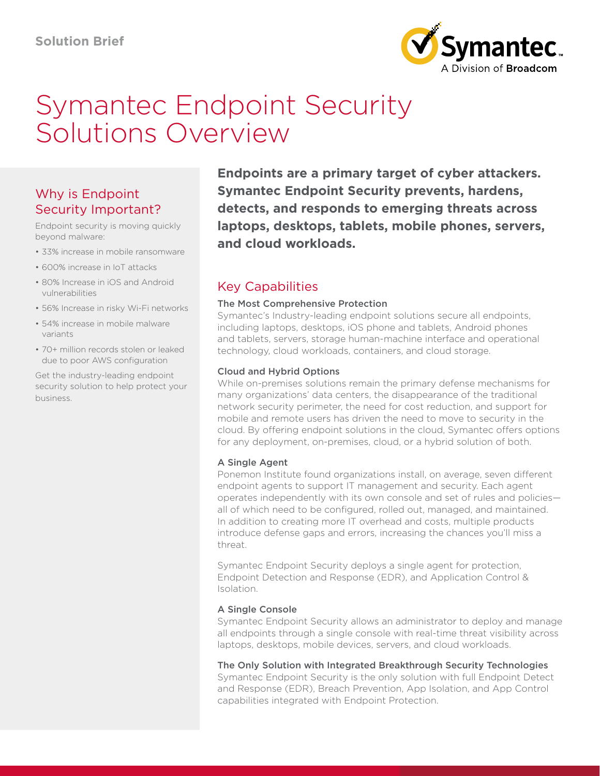

# Symantec Endpoint Security Solutions Overview

# Why is Endpoint Security Important?

Endpoint security is moving quickly beyond malware:

- 33% increase in mobile ransomware
- 600% increase in IoT attacks
- 80% Increase in iOS and Android vulnerabilities
- 56% Increase in risky Wi-Fi networks
- 54% increase in mobile malware variants
- 70+ million records stolen or leaked due to poor AWS configuration

Get the industry-leading endpoint security solution to help protect your business.

**Endpoints are a primary target of cyber attackers. Symantec Endpoint Security prevents, hardens, detects, and responds to emerging threats across laptops, desktops, tablets, mobile phones, servers, and cloud workloads.**

# Key Capabilities

#### The Most Comprehensive Protection

Symantec's Industry-leading endpoint solutions secure all endpoints, including laptops, desktops, iOS phone and tablets, Android phones and tablets, servers, storage human-machine interface and operational technology, cloud workloads, containers, and cloud storage.

#### Cloud and Hybrid Options

While on-premises solutions remain the primary defense mechanisms for many organizations' data centers, the disappearance of the traditional network security perimeter, the need for cost reduction, and support for mobile and remote users has driven the need to move to security in the cloud. By offering endpoint solutions in the cloud, Symantec offers options for any deployment, on-premises, cloud, or a hybrid solution of both.

#### A Single Agent

Ponemon Institute found organizations install, on average, seven different endpoint agents to support IT management and security. Each agent operates independently with its own console and set of rules and policies all of which need to be configured, rolled out, managed, and maintained. In addition to creating more IT overhead and costs, multiple products introduce defense gaps and errors, increasing the chances you'll miss a threat.

Symantec Endpoint Security deploys a single agent for protection, Endpoint Detection and Response (EDR), and Application Control & Isolation.

#### A Single Console

Symantec Endpoint Security allows an administrator to deploy and manage all endpoints through a single console with real-time threat visibility across laptops, desktops, mobile devices, servers, and cloud workloads.

The Only Solution with Integrated Breakthrough Security Technologies

Symantec Endpoint Security is the only solution with full Endpoint Detect and Response (EDR), Breach Prevention, App Isolation, and App Control capabilities integrated with Endpoint Protection.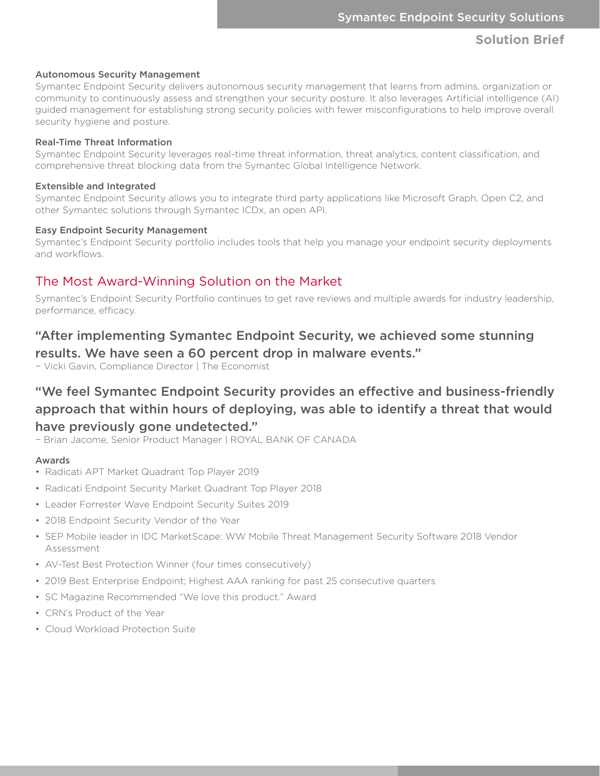## **Solution Brief**

#### Autonomous Security Management

Symantec Endpoint Security delivers autonomous security management that learns from admins, organization or community to continuously assess and strengthen your security posture. It also leverages Artificial intelligence (AI) guided management for establishing strong security policies with fewer misconfigurations to help improve overall security hygiene and posture.

#### Real-Time Threat Information

Symantec Endpoint Security leverages real-time threat information, threat analytics, content classification, and comprehensive threat blocking data from the Symantec Global Intelligence Network.

#### Extensible and Integrated

Symantec Endpoint Security allows you to integrate third party applications like Microsoft Graph, Open C2, and other Symantec solutions through Symantec ICDx, an open API.

#### Easy Endpoint Security Management

Symantec's Endpoint Security portfolio includes tools that help you manage your endpoint security deployments and workflows.

### The Most Award-Winning Solution on the Market

Symantec's Endpoint Security Portfolio continues to get rave reviews and multiple awards for industry leadership, performance, efficacy.

## "After implementing Symantec Endpoint Security, we achieved some stunning results. We have seen a 60 percent drop in malware events."

− Vicki Gavin, Compliance Director | The Economist

# "We feel Symantec Endpoint Security provides an effective and business-friendly approach that within hours of deploying, was able to identify a threat that would have previously gone undetected."

− Brian Jacome, Senior Product Manager | ROYAL BANK OF CANADA

#### Awards

- Radicati APT Market Quadrant Top Player 2019
- Radicati Endpoint Security Market Quadrant Top Player 2018
- Leader Forrester Wave Endpoint Security Suites 2019
- 2018 Endpoint Security Vendor of the Year
- SEP Mobile leader in IDC MarketScape: WW Mobile Threat Management Security Software 2018 Vendor Assessment
- AV-Test Best Protection Winner (four times consecutively)
- 2019 Best Enterprise Endpoint; Highest AAA ranking for past 25 consecutive quarters
- SC Magazine Recommended "We love this product." Award
- CRN's Product of the Year
- Cloud Workload Protection Suite